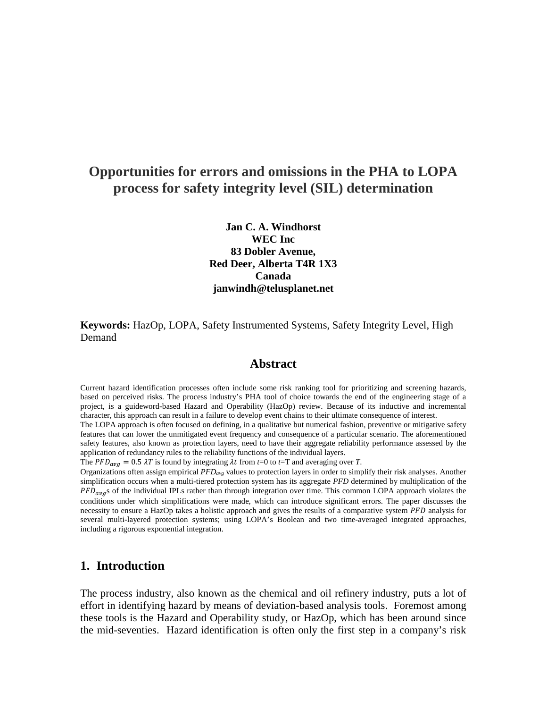# **Opportunities for errors and omissions in the PHA to LOPA process for safety integrity level (SIL) determination**

**Jan C. A. Windhorst WEC Inc 83 Dobler Avenue, Red Deer, Alberta T4R 1X3 Canada janwindh@telusplanet.net**

**Keywords:** HazOp, LOPA, Safety Instrumented Systems, Safety Integrity Level, High Demand

### **Abstract**

Current hazard identification processes often include some risk ranking tool for prioritizing and screening hazards, based on perceived risks. The process industry's PHA tool of choice towards the end of the engineering stage of a project, is a guideword-based Hazard and Operability (HazOp) review. Because of its inductive and incremental character, this approach can result in a failure to develop event chains to their ultimate consequence of interest.

The LOPA approach is often focused on defining, in a qualitative but numerical fashion, preventive or mitigative safety features that can lower the unmitigated event frequency and consequence of a particular scenario. The aforementioned safety features, also known as protection layers, need to have their aggregate reliability performance assessed by the application of redundancy rules to the reliability functions of the individual layers.

The  $PFD_{avg} = 0.5 \lambda T$  is found by integrating  $\lambda t$  from  $t=0$  to  $t=T$  and averaging over *T*.

Organizations often assign empirical *PFDavg* values to protection layers in order to simplify their risk analyses. Another simplification occurs when a multi-tiered protection system has its aggregate *PFD* determined by multiplication of the  $PFD_{avg}$ s of the individual IPLs rather than through integration over time. This common LOPA approach violates the conditions under which simplifications were made, which can introduce significant errors. The paper discusses the necessity to ensure a HazOp takes a holistic approach and gives the results of a comparative system *PFD* analysis for several multi-layered protection systems; using LOPA's Boolean and two time-averaged integrated approaches, including a rigorous exponential integration.

### **1. Introduction**

The process industry, also known as the chemical and oil refinery industry, puts a lot of effort in identifying hazard by means of deviation-based analysis tools. Foremost among these tools is the Hazard and Operability study, or HazOp, which has been around since the mid-seventies. Hazard identification is often only the first step in a company's risk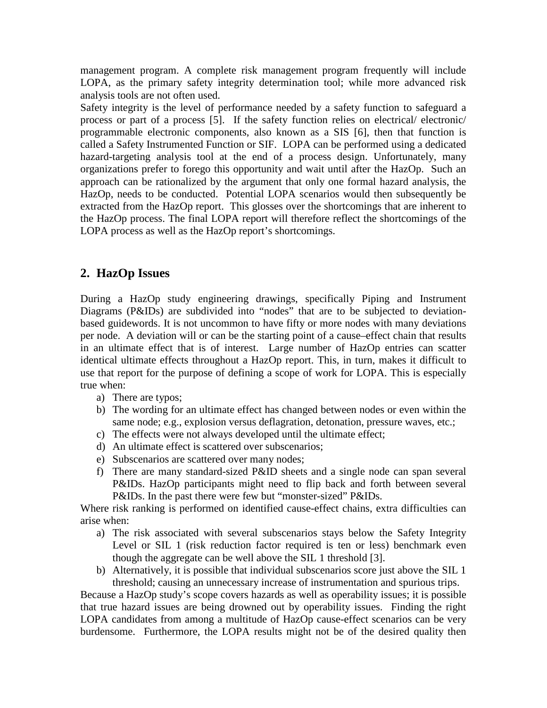management program. A complete risk management program frequently will include LOPA, as the primary safety integrity determination tool; while more advanced risk analysis tools are not often used.

Safety integrity is the level of performance needed by a safety function to safeguard a process or part of a process [5]. If the safety function relies on electrical/ electronic/ programmable electronic components, also known as a SIS [6], then that function is called a Safety Instrumented Function or SIF. LOPA can be performed using a dedicated hazard-targeting analysis tool at the end of a process design. Unfortunately, many organizations prefer to forego this opportunity and wait until after the HazOp. Such an approach can be rationalized by the argument that only one formal hazard analysis, the HazOp, needs to be conducted. Potential LOPA scenarios would then subsequently be extracted from the HazOp report. This glosses over the shortcomings that are inherent to the HazOp process. The final LOPA report will therefore reflect the shortcomings of the LOPA process as well as the HazOp report's shortcomings.

## **2. HazOp Issues**

During a HazOp study engineering drawings, specifically Piping and Instrument Diagrams (P&IDs) are subdivided into "nodes" that are to be subjected to deviationbased guidewords. It is not uncommon to have fifty or more nodes with many deviations per node. A deviation will or can be the starting point of a cause–effect chain that results in an ultimate effect that is of interest. Large number of HazOp entries can scatter identical ultimate effects throughout a HazOp report. This, in turn, makes it difficult to use that report for the purpose of defining a scope of work for LOPA. This is especially true when:

- a) There are typos;
- b) The wording for an ultimate effect has changed between nodes or even within the same node; e.g., explosion versus deflagration, detonation, pressure waves, etc.;
- c) The effects were not always developed until the ultimate effect;
- d) An ultimate effect is scattered over subscenarios;
- e) Subscenarios are scattered over many nodes;
- f) There are many standard-sized P&ID sheets and a single node can span several P&IDs. HazOp participants might need to flip back and forth between several P&IDs. In the past there were few but "monster-sized" P&IDs.

Where risk ranking is performed on identified cause-effect chains, extra difficulties can arise when:

- a) The risk associated with several subscenarios stays below the Safety Integrity Level or SIL 1 (risk reduction factor required is ten or less) benchmark even though the aggregate can be well above the SIL 1 threshold [3].
- b) Alternatively, it is possible that individual subscenarios score just above the SIL 1 threshold; causing an unnecessary increase of instrumentation and spurious trips.

Because a HazOp study's scope covers hazards as well as operability issues; it is possible that true hazard issues are being drowned out by operability issues. Finding the right LOPA candidates from among a multitude of HazOp cause-effect scenarios can be very burdensome. Furthermore, the LOPA results might not be of the desired quality then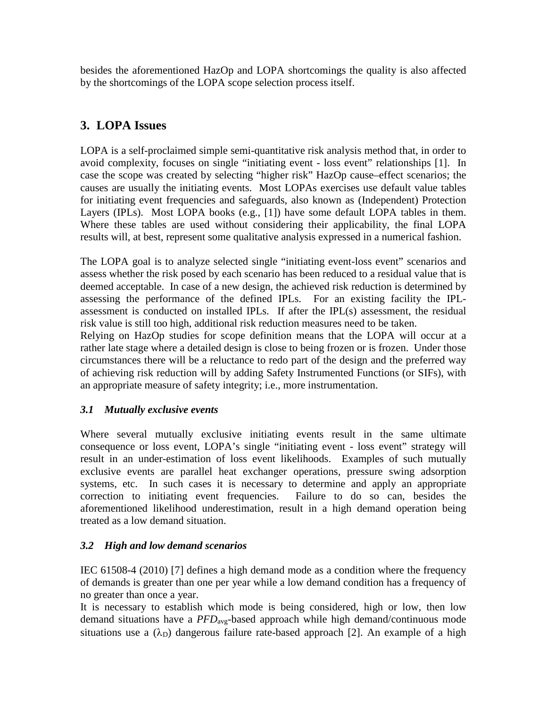besides the aforementioned HazOp and LOPA shortcomings the quality is also affected by the shortcomings of the LOPA scope selection process itself.

# **3. LOPA Issues**

LOPA is a self-proclaimed simple semi-quantitative risk analysis method that, in order to avoid complexity, focuses on single "initiating event - loss event" relationships [1]. In case the scope was created by selecting "higher risk" HazOp cause–effect scenarios; the causes are usually the initiating events. Most LOPAs exercises use default value tables for initiating event frequencies and safeguards, also known as (Independent) Protection Layers (IPLs). Most LOPA books (e.g., [1]) have some default LOPA tables in them. Where these tables are used without considering their applicability, the final LOPA results will, at best, represent some qualitative analysis expressed in a numerical fashion.

The LOPA goal is to analyze selected single "initiating event-loss event" scenarios and assess whether the risk posed by each scenario has been reduced to a residual value that is deemed acceptable. In case of a new design, the achieved risk reduction is determined by assessing the performance of the defined IPLs. For an existing facility the IPLassessment is conducted on installed IPLs. If after the IPL(s) assessment, the residual risk value is still too high, additional risk reduction measures need to be taken.

Relying on HazOp studies for scope definition means that the LOPA will occur at a rather late stage where a detailed design is close to being frozen or is frozen. Under those circumstances there will be a reluctance to redo part of the design and the preferred way of achieving risk reduction will by adding Safety Instrumented Functions (or SIFs), with an appropriate measure of safety integrity; i.e., more instrumentation.

# *3.1 Mutually exclusive events*

Where several mutually exclusive initiating events result in the same ultimate consequence or loss event, LOPA's single "initiating event - loss event" strategy will result in an under-estimation of loss event likelihoods. Examples of such mutually exclusive events are parallel heat exchanger operations, pressure swing adsorption systems, etc. In such cases it is necessary to determine and apply an appropriate correction to initiating event frequencies. Failure to do so can, besides the aforementioned likelihood underestimation, result in a high demand operation being treated as a low demand situation.

## *3.2 High and low demand scenarios*

IEC 61508-4 (2010) [7] defines a high demand mode as a condition where the frequency of demands is greater than one per year while a low demand condition has a frequency of no greater than once a year.

It is necessary to establish which mode is being considered, high or low, then low demand situations have a *PFD*avg-based approach while high demand/continuous mode situations use a  $(\lambda_D)$  dangerous failure rate-based approach [2]. An example of a high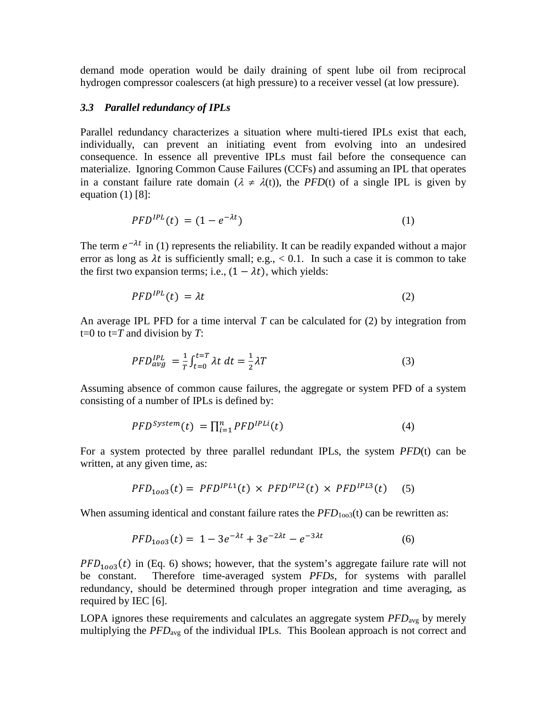demand mode operation would be daily draining of spent lube oil from reciprocal hydrogen compressor coalescers (at high pressure) to a receiver vessel (at low pressure).

#### *3.3 Parallel redundancy of IPLs*

Parallel redundancy characterizes a situation where multi-tiered IPLs exist that each, individually, can prevent an initiating event from evolving into an undesired consequence. In essence all preventive IPLs must fail before the consequence can materialize. Ignoring Common Cause Failures (CCFs) and assuming an IPL that operates in a constant failure rate domain  $(\lambda \neq \lambda(t))$ , the *PFD*(t) of a single IPL is given by equation  $(1)$  [8]:

$$
PFD^{IPL}(t) = (1 - e^{-\lambda t})
$$
 (1)

The term  $e^{-\lambda t}$  in (1) represents the reliability. It can be readily expanded without a major error as long as  $\lambda t$  is sufficiently small; e.g.,  $< 0.1$ . In such a case it is common to take the first two expansion terms; i.e.,  $(1 - \lambda t)$ , which yields:

$$
PFD^{IPL}(t) = \lambda t \tag{2}
$$

An average IPL PFD for a time interval *T* can be calculated for (2) by integration from t=0 to t=*T* and division by *T*:

$$
PFD_{avg}^{IPL} = \frac{1}{T} \int_{t=0}^{t=T} \lambda t \, dt = \frac{1}{2} \lambda T \tag{3}
$$

Assuming absence of common cause failures, the aggregate or system PFD of a system consisting of a number of IPLs is defined by:

$$
PFD^{System}(t) = \prod_{i=1}^{n} PFD^{IPLi}(t)
$$
\n(4)

For a system protected by three parallel redundant IPLs, the system *PFD*(t) can be written, at any given time, as:

$$
PFD_{1003}(t) = PFDIPL1(t) \times PFDIPL2(t) \times PFDIPL3(t) \quad (5)
$$

When assuming identical and constant failure rates the  $PFD<sub>1003</sub>(t)$  can be rewritten as:

$$
PFD_{1003}(t) = 1 - 3e^{-\lambda t} + 3e^{-2\lambda t} - e^{-3\lambda t}
$$
 (6)

 $PFD_{1003}(t)$  in (Eq. 6) shows; however, that the system's aggregate failure rate will not be constant. Therefore time-averaged system  $PFDs$ , for systems with parallel Therefore time-averaged system *PFDs*, for systems with parallel redundancy, should be determined through proper integration and time averaging, as required by IEC [6].

LOPA ignores these requirements and calculates an aggregate system *PFD*avg by merely multiplying the *PFD*avg of the individual IPLs. This Boolean approach is not correct and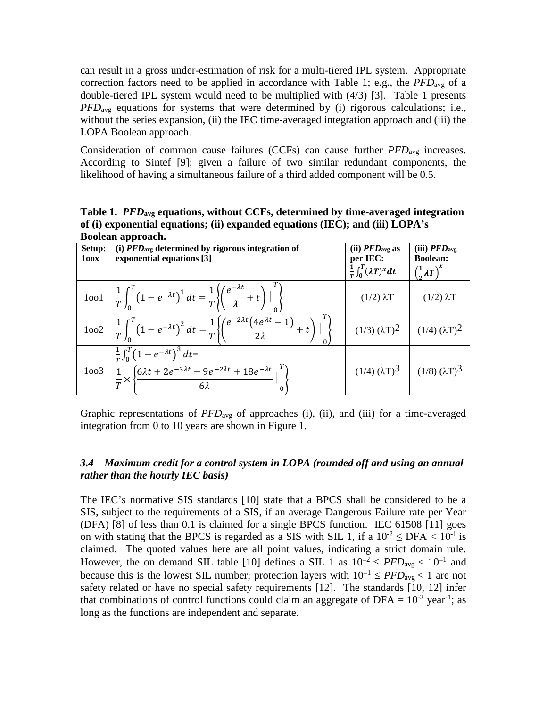can result in a gross under-estimation of risk for a multi-tiered IPL system. Appropriate correction factors need to be applied in accordance with Table 1; e.g., the *PFD*avg of a double-tiered IPL system would need to be multiplied with (4/3) [3]. Table 1 presents *PFD*<sub>avg</sub> equations for systems that were determined by (i) rigorous calculations; i.e., without the series expansion, (ii) the IEC time-averaged integration approach and (iii) the LOPA Boolean approach.

Consideration of common cause failures (CCFs) can cause further *PFD*avg increases. According to Sintef [9]; given a failure of two similar redundant components, the likelihood of having a simultaneous failure of a third added component will be 0.5.

**Table 1.** *PFD***avg equations, without CCFs, determined by time-averaged integration of (i) exponential equations; (ii) expanded equations (IEC); and (iii) LOPA's Boolean approach.**

| Setup:<br>100X | Doolcan approach.<br>(i) $PFD_{avg}$ determined by rigorous integration of<br>exponential equations [3]                                                                                    | (ii) $PFD_{\text{avg}}$ as<br>per IEC:<br>$\frac{1}{T}\int_0^T (\lambda T)^x dt$ | (iii) $\mathbf{PFD}_\text{avg}$<br><b>Boolean:</b><br>$\left(\frac{1}{2}\lambda T\right)^{x}$ |
|----------------|--------------------------------------------------------------------------------------------------------------------------------------------------------------------------------------------|----------------------------------------------------------------------------------|-----------------------------------------------------------------------------------------------|
|                | 1001 $\left  \frac{1}{T} \int_0^T (1 - e^{-\lambda t})^1 dt = \frac{1}{T} \left\{ \left( \frac{e^{-\lambda t}}{\lambda} + t \right) \right\}^{\prime} \right\}$                            | $(1/2)$ $\lambda$ T                                                              | $(1/2) \lambda T$                                                                             |
|                | 1002 $\left  \frac{1}{T} \int_0^T (1 - e^{-\lambda t})^2 dt = \frac{1}{T} \left\{ \left( \frac{e^{-2\lambda t} (4e^{\lambda t} - 1)}{2\lambda} + t \right) \right\}^T \right\}$            | $(1/3) (\lambda T)^2$ $(1/4) (\lambda T)^2$                                      |                                                                                               |
|                | $\frac{\frac{1}{T}\int_0^T (1 - e^{-\lambda t})^3 dt}{\frac{1}{T} \times \left\{ \frac{6\lambda t + 2e^{-3\lambda t} - 9e^{-2\lambda t} + 18e^{-\lambda t}}{6\lambda} \Big _0^T \right\}}$ | $(1/4) (\lambda T)^3$                                                            | $(1/8) (\lambda T)^3$                                                                         |

Graphic representations of *PFD*<sub>avg</sub> of approaches (i), (ii), and (iii) for a time-averaged integration from 0 to 10 years are shown in Figure 1.

### *3.4 Maximum credit for a control system in LOPA (rounded off and using an annual rather than the hourly IEC basis)*

The IEC's normative SIS standards [10] state that a BPCS shall be considered to be a SIS, subject to the requirements of a SIS, if an average Dangerous Failure rate per Year (DFA) [8] of less than 0.1 is claimed for a single BPCS function. IEC 61508 [11] goes on with stating that the BPCS is regarded as a SIS with SIL 1, if a  $10^{-2} \leq$  DFA  $\leq 10^{-1}$  is claimed. The quoted values here are all point values, indicating a strict domain rule. However, the on demand SIL table [10] defines a SIL 1 as  $10^{-2} \leq PFD_{\text{avg}} < 10^{-1}$  and because this is the lowest SIL number; protection layers with  $10^{-1} \leq PFD_{\text{avg}} < 1$  are not safety related or have no special safety requirements [12]. The standards [10, 12] infer that combinations of control functions could claim an aggregate of DFA =  $10^{-2}$  year<sup>-1</sup>; as long as the functions are independent and separate.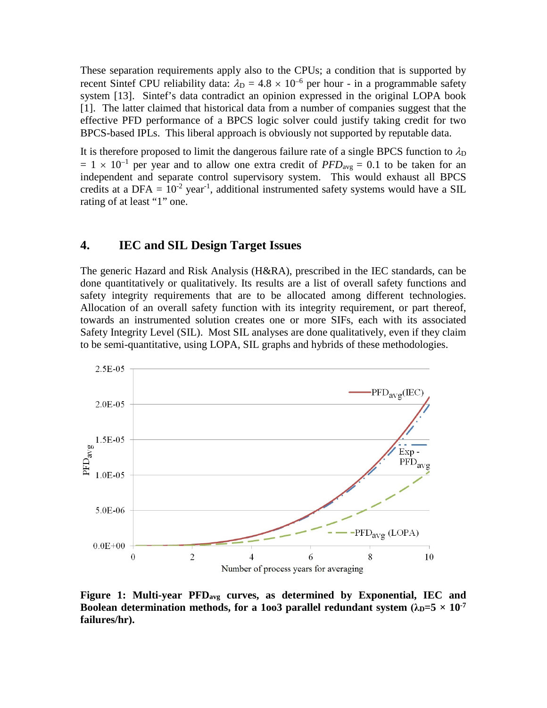These separation requirements apply also to the CPUs; a condition that is supported by recent Sintef CPU reliability data:  $\lambda_D = 4.8 \times 10^{-6}$  per hour - in a programmable safety system [13]. Sintef's data contradict an opinion expressed in the original LOPA book [1]. The latter claimed that historical data from a number of companies suggest that the effective PFD performance of a BPCS logic solver could justify taking credit for two BPCS-based IPLs. This liberal approach is obviously not supported by reputable data.

It is therefore proposed to limit the dangerous failure rate of a single BPCS function to  $\lambda_{D}$  $= 1 \times 10^{-1}$  per year and to allow one extra credit of *PFD*<sub>avg</sub> = 0.1 to be taken for an independent and separate control supervisory system. This would exhaust all BPCS credits at a DFA =  $10^{-2}$  year<sup>-1</sup>, additional instrumented safety systems would have a SIL rating of at least "1" one.

### **4. IEC and SIL Design Target Issues**

The generic Hazard and Risk Analysis (H&RA), prescribed in the IEC standards, can be done quantitatively or qualitatively. Its results are a list of overall safety functions and safety integrity requirements that are to be allocated among different technologies. Allocation of an overall safety function with its integrity requirement, or part thereof, towards an instrumented solution creates one or more SIFs, each with its associated Safety Integrity Level (SIL). Most SIL analyses are done qualitatively, even if they claim to be semi-quantitative, using LOPA, SIL graphs and hybrids of these methodologies.



**Figure 1: Multi-year PFDavg curves, as determined by Exponential, IEC and Boolean determination methods, for a 1003 parallel redundant system**  $(\lambda_{D}=5 \times 10^{-7})$ **failures/hr).**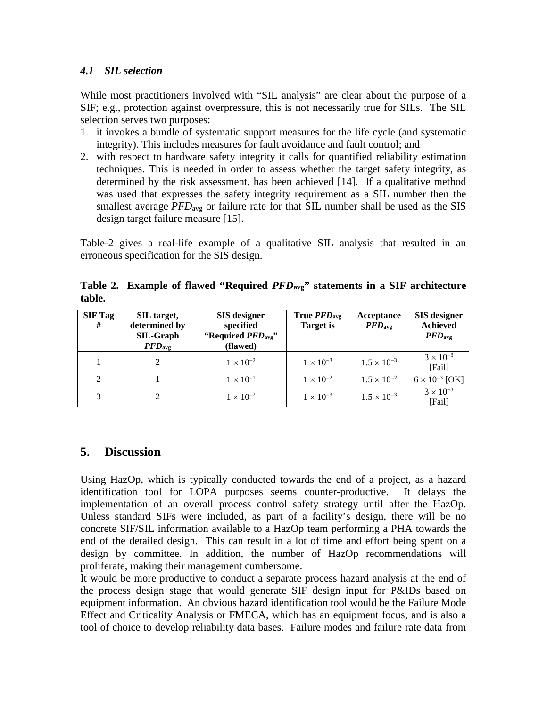### *4.1 SIL selection*

While most practitioners involved with "SIL analysis" are clear about the purpose of a SIF; e.g., protection against overpressure, this is not necessarily true for SILs. The SIL selection serves two purposes:

- 1. it invokes a bundle of systematic support measures for the life cycle (and systematic integrity). This includes measures for fault avoidance and fault control; and
- 2. with respect to hardware safety integrity it calls for quantified reliability estimation techniques. This is needed in order to assess whether the target safety integrity, as determined by the risk assessment, has been achieved [14]. If a qualitative method was used that expresses the safety integrity requirement as a SIL number then the smallest average *PFD*<sub>avg</sub> or failure rate for that SIL number shall be used as the SIS design target failure measure [15].

Table-2 gives a real-life example of a qualitative SIL analysis that resulted in an erroneous specification for the SIS design.

**Table 2. Example of flawed "Required** *PFD***avg" statements in a SIF architecture table.** 

| <b>SIF Tag</b><br># | SIL target,<br>determined by<br><b>SIL-Graph</b><br>PFD <sub>avg</sub> | <b>SIS</b> designer<br>specified<br>"Required PFD <sub>avg</sub> "<br>(flawed) | True <i>PFD</i> <sub>avg</sub><br><b>Target</b> is | Acceptance<br>$\boldsymbol{PFD_{\text{avg}}}$ | <b>SIS</b> designer<br><b>Achieved</b><br>PFD <sub>avg</sub> |
|---------------------|------------------------------------------------------------------------|--------------------------------------------------------------------------------|----------------------------------------------------|-----------------------------------------------|--------------------------------------------------------------|
|                     |                                                                        | $1 \times 10^{-2}$                                                             | $1 \times 10^{-3}$                                 | $1.5 \times 10^{-3}$                          | $3 \times 10^{-3}$<br>[Tail]                                 |
|                     |                                                                        | $1 \times 10^{-1}$                                                             | $1 \times 10^{-2}$                                 | $1.5 \times 10^{-2}$                          | $6 \times 10^{-3}$ [OK]                                      |
|                     |                                                                        | $1 \times 10^{-2}$                                                             | $1 \times 10^{-3}$                                 | $1.5 \times 10^{-3}$                          | $3 \times 10^{-3}$<br>[Fail]                                 |

# **5. Discussion**

Using HazOp, which is typically conducted towards the end of a project, as a hazard identification tool for LOPA purposes seems counter-productive. It delays the implementation of an overall process control safety strategy until after the HazOp. Unless standard SIFs were included, as part of a facility's design, there will be no concrete SIF/SIL information available to a HazOp team performing a PHA towards the end of the detailed design. This can result in a lot of time and effort being spent on a design by committee. In addition, the number of HazOp recommendations will proliferate, making their management cumbersome.

It would be more productive to conduct a separate process hazard analysis at the end of the process design stage that would generate SIF design input for P&IDs based on equipment information. An obvious hazard identification tool would be the Failure Mode Effect and Criticality Analysis or FMECA, which has an equipment focus, and is also a tool of choice to develop reliability data bases. Failure modes and failure rate data from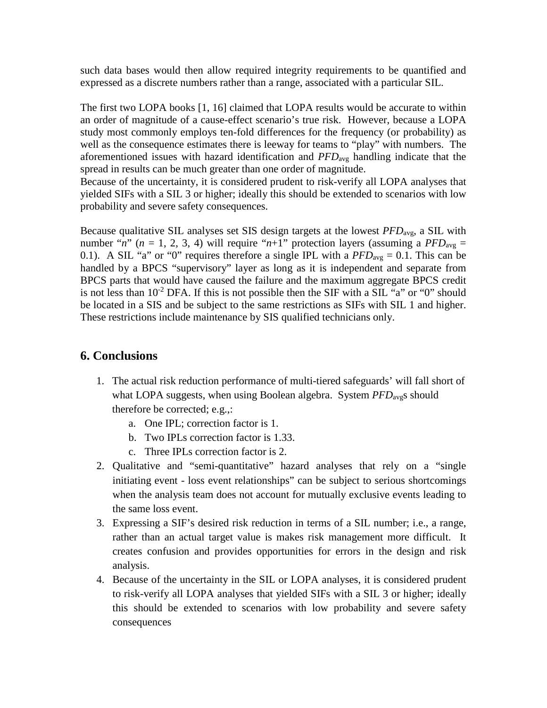such data bases would then allow required integrity requirements to be quantified and expressed as a discrete numbers rather than a range, associated with a particular SIL.

The first two LOPA books [1, 16] claimed that LOPA results would be accurate to within an order of magnitude of a cause-effect scenario's true risk. However, because a LOPA study most commonly employs ten-fold differences for the frequency (or probability) as well as the consequence estimates there is leeway for teams to "play" with numbers. The aforementioned issues with hazard identification and *PFD*avg handling indicate that the spread in results can be much greater than one order of magnitude.

Because of the uncertainty, it is considered prudent to risk-verify all LOPA analyses that yielded SIFs with a SIL 3 or higher; ideally this should be extended to scenarios with low probability and severe safety consequences.

Because qualitative SIL analyses set SIS design targets at the lowest *PFD*avg, a SIL with number " $n$ " ( $n = 1, 2, 3, 4$ ) will require " $n+1$ " protection layers (assuming a *PFD*<sub>avg</sub> = 0.1). A SIL "a" or "0" requires therefore a single IPL with a  $PFD_{avg} = 0.1$ . This can be handled by a BPCS "supervisory" layer as long as it is independent and separate from BPCS parts that would have caused the failure and the maximum aggregate BPCS credit is not less than  $10^{-2}$  DFA. If this is not possible then the SIF with a SIL "a" or "0" should be located in a SIS and be subject to the same restrictions as SIFs with SIL 1 and higher. These restrictions include maintenance by SIS qualified technicians only.

## **6. Conclusions**

- 1. The actual risk reduction performance of multi-tiered safeguards' will fall short of what LOPA suggests, when using Boolean algebra. System *PFD*<sub>avg</sub>s should therefore be corrected; e.g.,:
	- a. One IPL; correction factor is 1.
	- b. Two IPLs correction factor is 1.33.
	- c. Three IPLs correction factor is 2.
- 2. Qualitative and "semi-quantitative" hazard analyses that rely on a "single initiating event - loss event relationships" can be subject to serious shortcomings when the analysis team does not account for mutually exclusive events leading to the same loss event.
- 3. Expressing a SIF's desired risk reduction in terms of a SIL number; i.e., a range, rather than an actual target value is makes risk management more difficult. It creates confusion and provides opportunities for errors in the design and risk analysis.
- 4. Because of the uncertainty in the SIL or LOPA analyses, it is considered prudent to risk-verify all LOPA analyses that yielded SIFs with a SIL 3 or higher; ideally this should be extended to scenarios with low probability and severe safety consequences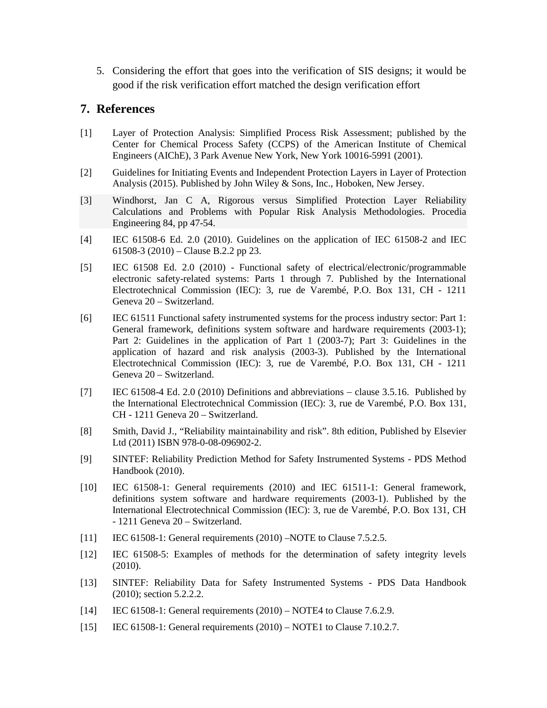5. Considering the effort that goes into the verification of SIS designs; it would be good if the risk verification effort matched the design verification effort

### **7. References**

- [1] Layer of Protection Analysis: Simplified Process Risk Assessment; published by the Center for Chemical Process Safety (CCPS) of the American Institute of Chemical Engineers (AIChE), 3 Park Avenue New York, New York 10016-5991 (2001).
- [2] Guidelines for Initiating Events and Independent Protection Layers in Layer of Protection Analysis (2015). Published by John Wiley & Sons, Inc., Hoboken, New Jersey.
- [3] Windhorst, Jan C A, Rigorous versus Simplified Protection Layer Reliability Calculations and Problems with Popular Risk Analysis Methodologies. Procedia Engineering 84, pp 47-54.
- [4] IEC 61508-6 Ed. 2.0 (2010). Guidelines on the application of IEC 61508-2 and IEC 61508-3 (2010) – Clause B.2.2 pp 23.
- [5] IEC 61508 Ed. 2.0 (2010) Functional safety of electrical/electronic/programmable electronic safety-related systems: Parts 1 through 7. Published by the International Electrotechnical Commission (IEC): 3, rue de Varembé, P.O. Box 131, CH - 1211 Geneva 20 – Switzerland.
- [6] IEC 61511 Functional safety instrumented systems for the process industry sector: Part 1: General framework, definitions system software and hardware requirements (2003-1); Part 2: Guidelines in the application of Part 1 (2003-7); Part 3: Guidelines in the application of hazard and risk analysis (2003-3). Published by the International Electrotechnical Commission (IEC): 3, rue de Varembé, P.O. Box 131, CH - 1211 Geneva 20 – Switzerland.
- [7] IEC 61508-4 Ed. 2.0 (2010) Definitions and abbreviations − clause 3.5.16. Published by the International Electrotechnical Commission (IEC): 3, rue de Varembé, P.O. Box 131, CH - 1211 Geneva 20 – Switzerland.
- [8] Smith, David J., "Reliability maintainability and risk". 8th edition, Published by Elsevier Ltd (2011) ISBN 978-0-08-096902-2.
- [9] SINTEF: Reliability Prediction Method for Safety Instrumented Systems PDS Method Handbook (2010).
- [10] IEC 61508-1: General requirements (2010) and IEC 61511-1: General framework, definitions system software and hardware requirements (2003-1). Published by the International Electrotechnical Commission (IEC): 3, rue de Varembé, P.O. Box 131, CH - 1211 Geneva 20 – Switzerland.
- [11] IEC 61508-1: General requirements (2010) –NOTE to Clause 7.5.2.5.
- [12] IEC 61508-5: Examples of methods for the determination of safety integrity levels (2010).
- [13] SINTEF: Reliability Data for Safety Instrumented Systems PDS Data Handbook (2010); section 5.2.2.2.
- [14] IEC 61508-1: General requirements (2010) NOTE4 to Clause 7.6.2.9.
- [15] IEC 61508-1: General requirements (2010) NOTE1 to Clause 7.10.2.7.